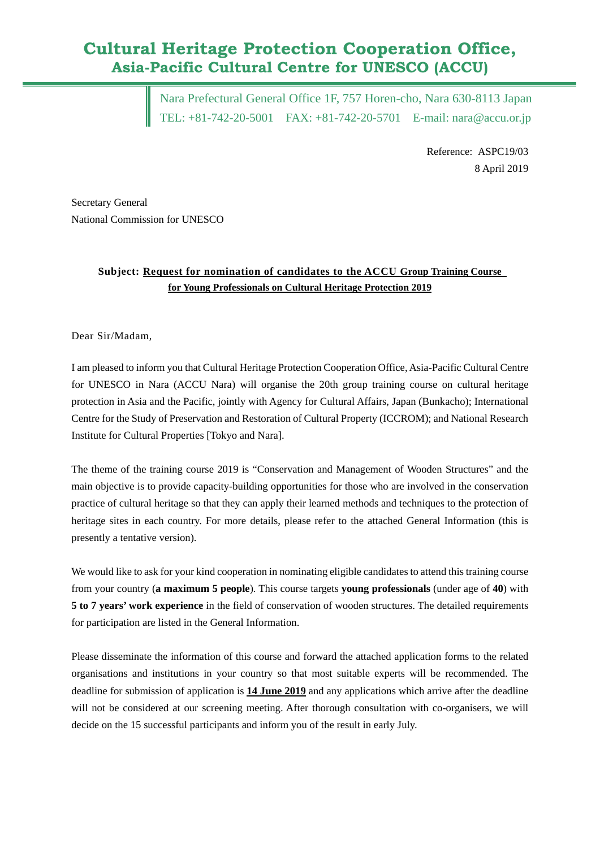# **Cultural Heritage Protection Cooperation Office, Asia-Pacific Cultural Centre for UNESCO (ACCU)**

Nara Prefectural General Office 1F, 757 Horen-cho, Nara 630-8113 Japan TEL: +81-742-20-5001 FAX: +81-742-20-5701 E-mail: [nara@accu.or.jp](mailto:nara@accu.or.jp)

> Reference: ASPC19/03 8 April 2019

Secretary General National Commission for UNESCO

### **Subject: Request for nomination of candidates to the ACCU Group Training Course for Young Professionals on Cultural Heritage Protection 2019**

#### Dear Sir/Madam,

I am pleased to inform you that Cultural Heritage Protection Cooperation Office, Asia-Pacific Cultural Centre for UNESCO in Nara (ACCU Nara) will organise the 20th group training course on cultural heritage protection in Asia and the Pacific, jointly with Agency for Cultural Affairs, Japan (Bunkacho); International Centre for the Study of Preservation and Restoration of Cultural Property (ICCROM); and National Research Institute for Cultural Properties [Tokyo and Nara].

The theme of the training course 2019 is "Conservation and Management of Wooden Structures" and the main objective is to provide capacity-building opportunities for those who are involved in the conservation practice of cultural heritage so that they can apply their learned methods and techniques to the protection of heritage sites in each country. For more details, please refer to the attached General Information (this is presently a tentative version).

We would like to ask for your kind cooperation in nominating eligible candidates to attend this training course from your country (**a maximum 5 people**). This course targets **young professionals** (under age of **40**) with **5 to 7 years' work experience** in the field of conservation of wooden structures. The detailed requirements for participation are listed in the General Information.

Please disseminate the information of this course and forward the attached application forms to the related organisations and institutions in your country so that most suitable experts will be recommended. The deadline for submission of application is **14 June 2019** and any applications which arrive after the deadline will not be considered at our screening meeting. After thorough consultation with co-organisers, we will decide on the 15 successful participants and inform you of the result in early July.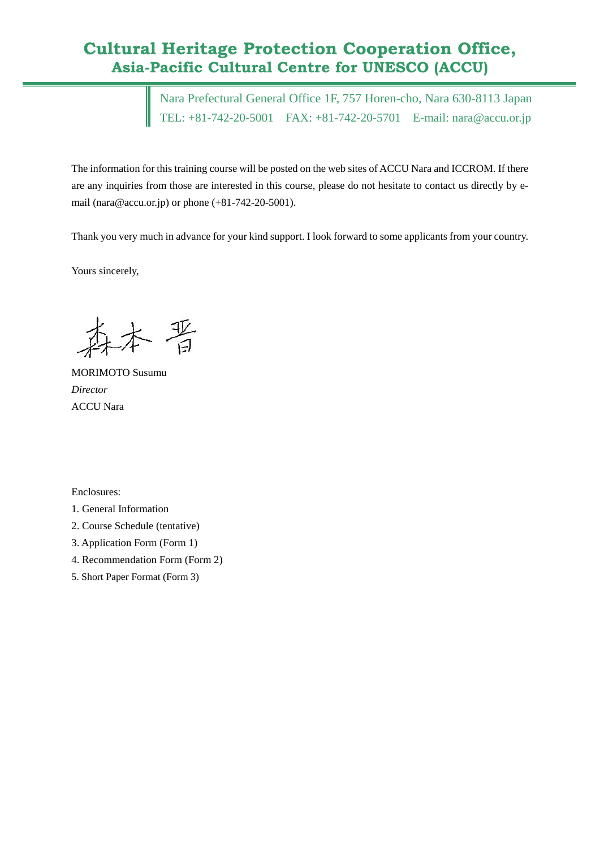## **Cultural Heritage Protection Cooperation Office, Asia-Pacific Cultural Centre for UNESCO (ACCU)**

Nara Prefectural General Office 1F, 757 Horen-cho, Nara 630-8113 Japan TEL: +81-742-20-5001 FAX: +81-742-20-5701 E-mail: [nara@accu.or.jp](mailto:nara@accu.or.jp)

The information for this training course will be posted on the web sites of ACCU Nara and ICCROM. If there are any inquiries from those are interested in this course, please do not hesitate to contact us directly by email (nara@accu.or.jp) or phone (+81-742-20-5001).

Thank you very much in advance for your kind support. I look forward to some applicants from your country.

Yours sincerely,

- 晋

MORIMOTO Susumu *Director* ACCU Nara

Enclosures:

1. General Information

- 2. Course Schedule (tentative)
- 3. Application Form (Form 1)
- 4. Recommendation Form (Form 2)
- 5. Short Paper Format (Form 3)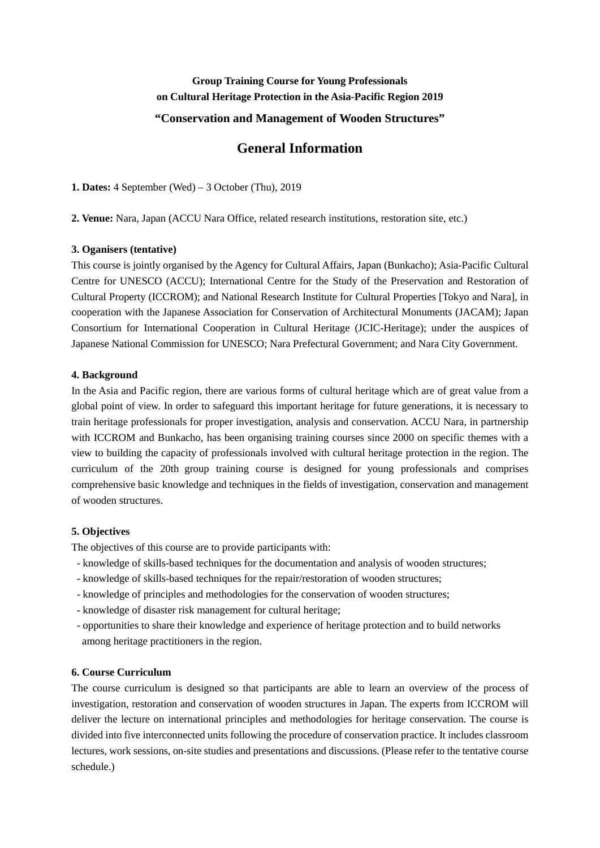## **Group Training Course for Young Professionals on Cultural Heritage Protection in the Asia-Pacific Region 2019**

#### **"Conservation and Management of Wooden Structures"**

## **General Information**

**1. Dates:** 4 September (Wed) – 3 October (Thu), 2019

**2. Venue:** Nara, Japan (ACCU Nara Office, related research institutions, restoration site, etc.)

#### **3. Oganisers (tentative)**

This course is jointly organised by the Agency for Cultural Affairs, Japan (Bunkacho); Asia-Pacific Cultural Centre for UNESCO (ACCU); International Centre for the Study of the Preservation and Restoration of Cultural Property (ICCROM); and National Research Institute for Cultural Properties [Tokyo and Nara], in cooperation with the Japanese Association for Conservation of Architectural Monuments (JACAM); Japan Consortium for International Cooperation in Cultural Heritage (JCIC-Heritage); under the auspices of Japanese National Commission for UNESCO; Nara Prefectural Government; and Nara City Government.

#### **4. Background**

In the Asia and Pacific region, there are various forms of cultural heritage which are of great value from a global point of view. In order to safeguard this important heritage for future generations, it is necessary to train heritage professionals for proper investigation, analysis and conservation. ACCU Nara, in partnership with ICCROM and Bunkacho, has been organising training courses since 2000 on specific themes with a view to building the capacity of professionals involved with cultural heritage protection in the region. The curriculum of the 20th group training course is designed for young professionals and comprises comprehensive basic knowledge and techniques in the fields of investigation, conservation and management of wooden structures.

#### **5. Objectives**

The objectives of this course are to provide participants with:

- knowledge of skills-based techniques for the documentation and analysis of wooden structures;
- knowledge of skills-based techniques for the repair/restoration of wooden structures;
- knowledge of principles and methodologies for the conservation of wooden structures;
- knowledge of disaster risk management for cultural heritage;
- opportunities to share their knowledge and experience of heritage protection and to build networks among heritage practitioners in the region.

#### **6. Course Curriculum**

The course curriculum is designed so that participants are able to learn an overview of the process of investigation, restoration and conservation of wooden structures in Japan. The experts from ICCROM will deliver the lecture on international principles and methodologies for heritage conservation. The course is divided into five interconnected units following the procedure of conservation practice. It includes classroom lectures, work sessions, on-site studies and presentations and discussions. (Please refer to the tentative course schedule.)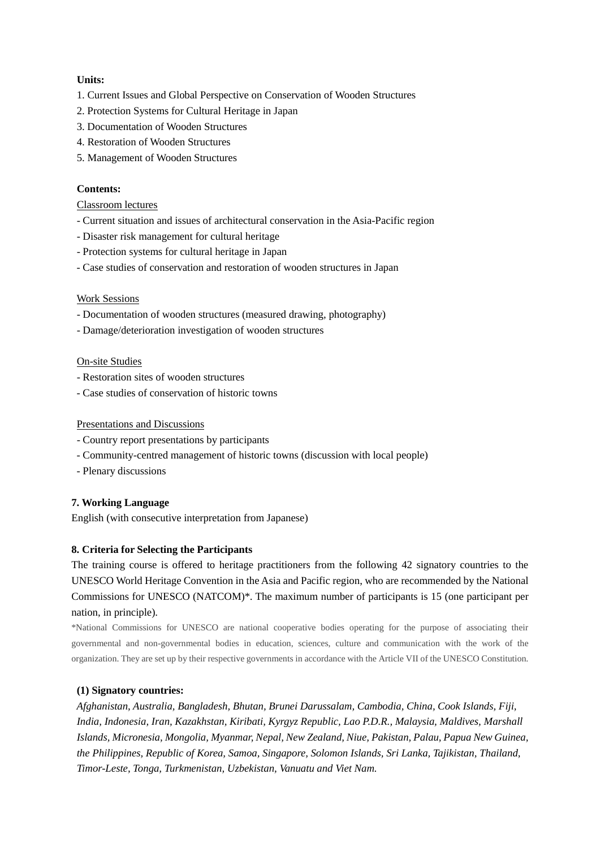#### **Units:**

- 1. Current Issues and Global Perspective on Conservation of Wooden Structures
- 2. Protection Systems for Cultural Heritage in Japan
- 3. Documentation of Wooden Structures
- 4. Restoration of Wooden Structures
- 5. Management of Wooden Structures

#### **Contents:**

#### Classroom lectures

- Current situation and issues of architectural conservation in the Asia-Pacific region
- Disaster risk management for cultural heritage
- Protection systems for cultural heritage in Japan
- Case studies of conservation and restoration of wooden structures in Japan

#### Work Sessions

- Documentation of wooden structures (measured drawing, photography)
- Damage/deterioration investigation of wooden structures

#### On-site Studies

- Restoration sites of wooden structures
- Case studies of conservation of historic towns

#### Presentations and Discussions

- Country report presentations by participants
- Community-centred management of historic towns (discussion with local people)
- Plenary discussions

#### **7. Working Language**

English (with consecutive interpretation from Japanese)

#### **8. Criteria for Selecting the Participants**

The training course is offered to heritage practitioners from the following 42 signatory countries to the UNESCO World Heritage Convention in the Asia and Pacific region, who are recommended by the National Commissions for UNESCO (NATCOM)\*. The maximum number of participants is 15 (one participant per nation, in principle).

\*National Commissions for UNESCO are national cooperative bodies operating for the purpose of associating their governmental and non-governmental bodies in education, sciences, culture and communication with the work of the organization. They are set up by their respective governments in accordance with the Article VII of the UNESCO Constitution.

#### **(1) Signatory countries:**

*Afghanistan, Australia, Bangladesh, Bhutan, Brunei Darussalam, Cambodia, China, Cook Islands, Fiji, India, Indonesia, Iran, Kazakhstan, Kiribati, Kyrgyz Republic, Lao P.D.R., Malaysia, Maldives, Marshall Islands, Micronesia, Mongolia, Myanmar, Nepal, New Zealand, Niue, Pakistan, Palau, Papua New Guinea, the Philippines, Republic of Korea, Samoa, Singapore, Solomon Islands, Sri Lanka, Tajikistan, Thailand, Timor-Leste, Tonga, Turkmenistan, Uzbekistan, Vanuatu and Viet Nam.*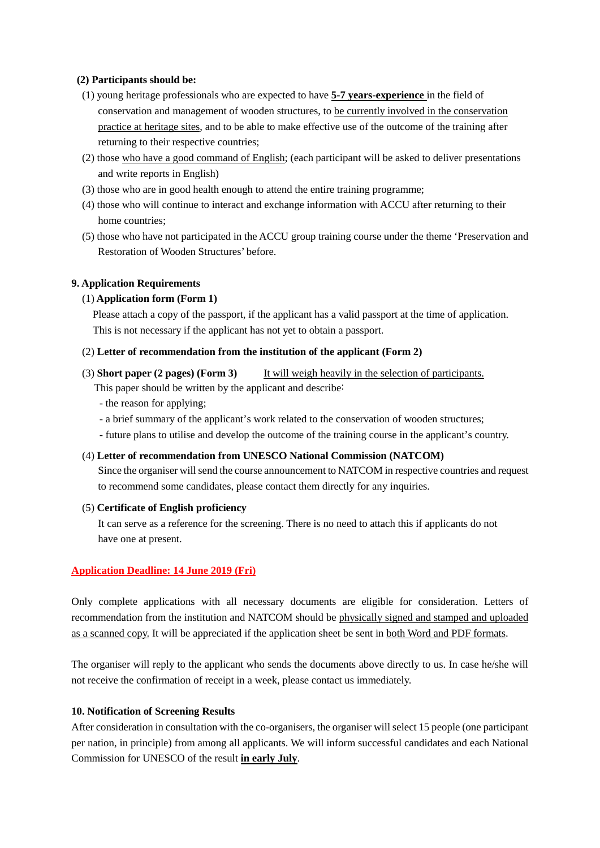#### **(2) Participants should be:**

- (1) young heritage professionals who are expected to have **5-7 years-experience** in the field of conservation and management of wooden structures, to be currently involved in the conservation practice at heritage sites, and to be able to make effective use of the outcome of the training after returning to their respective countries;
- (2) those who have a good command of English; (each participant will be asked to deliver presentations and write reports in English)
- (3) those who are in good health enough to attend the entire training programme;
- (4) those who will continue to interact and exchange information with ACCU after returning to their home countries;
- (5) those who have not participated in the ACCU group training course under the theme 'Preservation and Restoration of Wooden Structures' before.

#### **9. Application Requirements**

#### (1) **Application form (Form 1)**

 Please attach a copy of the passport, if the applicant has a valid passport at the time of application. This is not necessary if the applicant has not yet to obtain a passport.

#### (2) **Letter of recommendation from the institution of the applicant (Form 2)**

- (3) **Short paper (2 pages) (Form 3)** It will weigh heavily in the selection of participants. This paper should be written by the applicant and describe:
	- the reason for applying;
	- a brief summary of the applicant's work related to the conservation of wooden structures;
	- future plans to utilise and develop the outcome of the training course in the applicant's country.

#### (4) **Letter of recommendation from UNESCO National Commission (NATCOM)**

Since the organiser will send the course announcement to NATCOM in respective countries and request to recommend some candidates, please contact them directly for any inquiries.

(5) **Certificate of English proficiency**

 It can serve as a reference for the screening. There is no need to attach this if applicants do not have one at present.

#### **Application Deadline: 14 June 2019 (Fri)**

Only complete applications with all necessary documents are eligible for consideration. Letters of recommendation from the institution and NATCOM should be physically signed and stamped and uploaded as a scanned copy. It will be appreciated if the application sheet be sent in both Word and PDF formats.

The organiser will reply to the applicant who sends the documents above directly to us. In case he/she will not receive the confirmation of receipt in a week, please contact us immediately.

#### **10. Notification of Screening Results**

After consideration in consultation with the co-organisers, the organiser will select 15 people (one participant per nation, in principle) from among all applicants. We will inform successful candidates and each National Commission for UNESCO of the result **in early July**.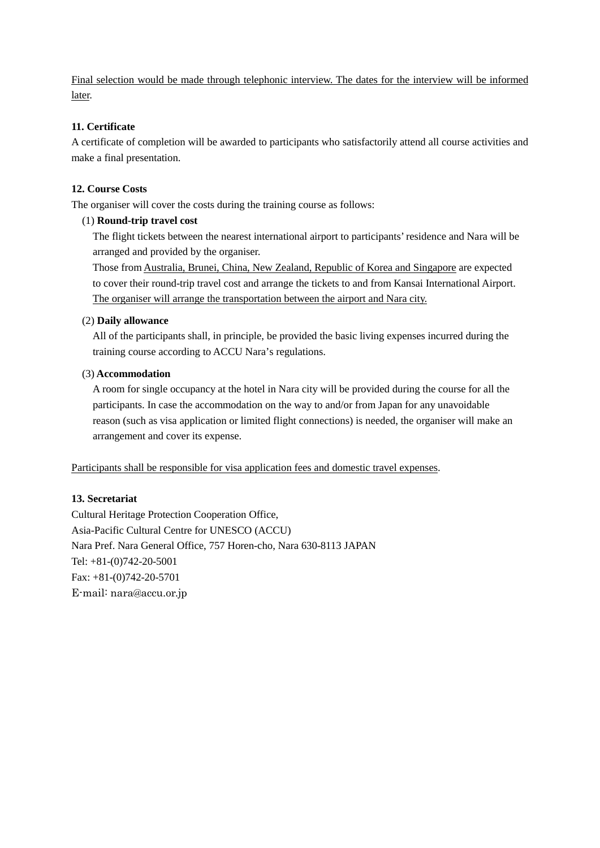Final selection would be made through telephonic interview. The dates for the interview will be informed later.

#### **11. Certificate**

A certificate of completion will be awarded to participants who satisfactorily attend all course activities and make a final presentation.

### **12. Course Costs**

The organiser will cover the costs during the training course as follows:

#### (1) **Round-trip travel cost**

The flight tickets between the nearest international airport to participants' residence and Nara will be arranged and provided by the organiser.

 Those from Australia, Brunei, China, New Zealand, Republic of Korea and Singapore are expected to cover their round-trip travel cost and arrange the tickets to and from Kansai International Airport. The organiser will arrange the transportation between the airport and Nara city.

#### (2) **Daily allowance**

 All of the participants shall, in principle, be provided the basic living expenses incurred during the training course according to ACCU Nara's regulations.

#### (3) **Accommodation**

 A room for single occupancy at the hotel in Nara city will be provided during the course for all the participants. In case the accommodation on the way to and/or from Japan for any unavoidable reason (such as visa application or limited flight connections) is needed, the organiser will make an arrangement and cover its expense.

Participants shall be responsible for visa application fees and domestic travel expenses.

#### **13. Secretariat**

Cultural Heritage Protection Cooperation Office, Asia-Pacific Cultural Centre for UNESCO (ACCU) Nara Pref. Nara General Office, 757 Horen-cho, Nara 630-8113 JAPAN Tel: +81-(0)742-20-5001 Fax: +81-(0)742-20-5701 E-mail: nara@accu.or.jp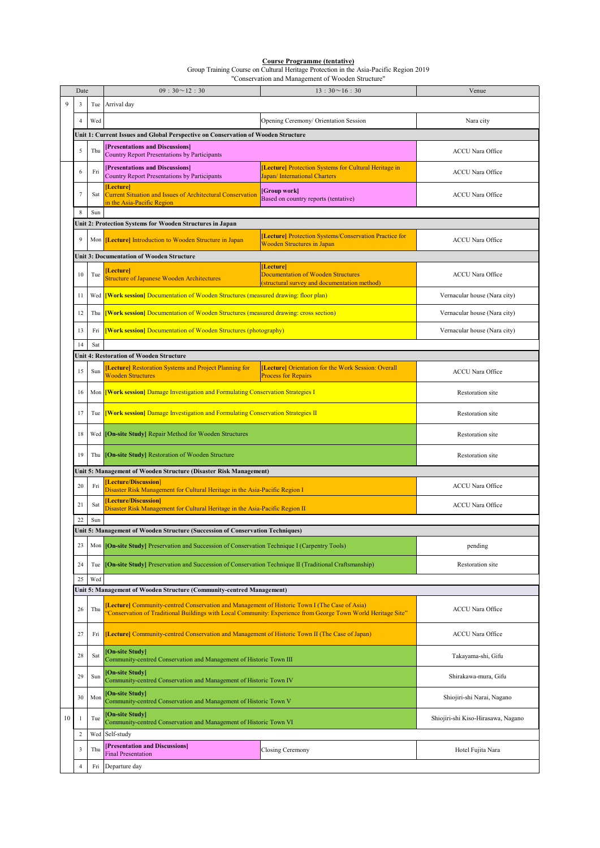#### **Course Programme (tentative)**

Group Training Course on Cultural Heritage Protection in the Asia-Pacific Region 2019

"Conservation and Management of Wooden Structure"

|    | Date           |     | $09:30 \sim 12:30$<br>$13:30 \sim 16:30$                                                                                                                                                                      |                                                                                                        | Venue                              |
|----|----------------|-----|---------------------------------------------------------------------------------------------------------------------------------------------------------------------------------------------------------------|--------------------------------------------------------------------------------------------------------|------------------------------------|
| 9  | 3              |     | Tue Arrival day                                                                                                                                                                                               |                                                                                                        |                                    |
|    | $\overline{4}$ | Wed |                                                                                                                                                                                                               | Opening Ceremony/ Orientation Session                                                                  | Nara city                          |
|    |                |     | Unit 1: Current Issues and Global Perspective on Conservation of Wooden Structure                                                                                                                             |                                                                                                        |                                    |
|    | 5              | Thu | <b>Presentations and Discussions</b><br><b>Country Report Presentations by Participants</b>                                                                                                                   |                                                                                                        | <b>ACCU</b> Nara Office            |
|    | 6              | Fri | <b>Presentations and Discussions</b><br>Country Report Presentations by Participants                                                                                                                          | [Lecture] Protection Systems for Cultural Heritage in<br>Japan/International Charters                  | <b>ACCU Nara Office</b>            |
|    | $\overline{7}$ | Sat | [Lecture]<br><b>Current Situation and Issues of Architectural Conservation</b><br>in the Asia-Pacific Region                                                                                                  | [Group work]<br>Based on country reports (tentative)                                                   | <b>ACCU</b> Nara Office            |
|    | 8              | Sun |                                                                                                                                                                                                               |                                                                                                        |                                    |
|    |                |     | Unit 2: Protection Systems for Wooden Structures in Japan                                                                                                                                                     |                                                                                                        |                                    |
|    | 9              |     | Mon <i>[Lecture]</i> Introduction to Wooden Structure in Japan                                                                                                                                                | [Lecture] Protection Systems/Conservation Practice for<br><b>Wooden Structures in Japan</b>            | <b>ACCU</b> Nara Office            |
|    |                |     | Unit 3: Documentation of Wooden Structure                                                                                                                                                                     |                                                                                                        |                                    |
|    | 10             | Tue | <b>Lecture</b><br>Structure of Japanese Wooden Architectures                                                                                                                                                  | [Lecture]<br><b>Documentation of Wooden Structures</b><br>(structural survey and documentation method) | <b>ACCU</b> Nara Office            |
|    | 11             | Wed | <b>Work session</b> Documentation of Wooden Structures (measured drawing: floor plan)                                                                                                                         |                                                                                                        | Vernacular house (Nara city)       |
|    | 12             | Thu | <b>Work session</b> Documentation of Wooden Structures (measured drawing: cross section)                                                                                                                      |                                                                                                        | Vernacular house (Nara city)       |
|    | 13             | Fri | [Work session] Documentation of Wooden Structures (photography)                                                                                                                                               |                                                                                                        | Vernacular house (Nara city)       |
|    | 14             | Sat |                                                                                                                                                                                                               |                                                                                                        |                                    |
|    |                |     | <b>Unit 4: Restoration of Wooden Structure</b>                                                                                                                                                                |                                                                                                        |                                    |
|    | 15             | Sun | <b>Lecture</b> Restoration Systems and Project Planning for<br><b>Wooden Structures</b>                                                                                                                       | [Lecture] Orientation for the Work Session: Overall<br><b>Process for Repairs</b>                      | <b>ACCU</b> Nara Office            |
|    | 16             | Mon | [Work session] Damage Investigation and Formulating Conservation Strategies I                                                                                                                                 |                                                                                                        | <b>Restoration</b> site            |
|    | 17             | Tue | [Work session] Damage Investigation and Formulating Conservation Strategies II                                                                                                                                |                                                                                                        | Restoration site                   |
|    | 18             |     | Wed <b>On-site Study</b> Repair Method for Wooden Structures                                                                                                                                                  |                                                                                                        | Restoration site                   |
|    | 19             |     | Thu <b>[On-site Study]</b> Restoration of Wooden Structure                                                                                                                                                    |                                                                                                        | Restoration site                   |
|    |                |     | Unit 5: Management of Wooden Structure (Disaster Risk Management)                                                                                                                                             |                                                                                                        |                                    |
|    | 20             | Fri | [Lecture/Discussion]<br>Disaster Risk Management for Cultural Heritage in the Asia-Pacific Region I                                                                                                           |                                                                                                        | <b>ACCU</b> Nara Office            |
|    | 21             | Sat | [Lecture/Discussion]<br>Disaster Risk Management for Cultural Heritage in the Asia-Pacific Region II                                                                                                          |                                                                                                        | <b>ACCU</b> Nara Office            |
|    | 22             | Sun |                                                                                                                                                                                                               |                                                                                                        |                                    |
|    |                |     | Unit 5: Management of Wooden Structure (Succession of Conservation Techniques)                                                                                                                                |                                                                                                        |                                    |
|    | 23             |     | Mon <b>[On-site Study</b> ] Preservation and Succession of Conservation Technique I (Carpentry Tools)                                                                                                         |                                                                                                        | pending                            |
|    | 24             | Tue | [On-site Study] Preservation and Succession of Conservation Technique II (Traditional Craftsmanship)                                                                                                          |                                                                                                        | <b>Restoration</b> site            |
|    | 25             | Wed |                                                                                                                                                                                                               |                                                                                                        |                                    |
|    |                |     | Unit 5: Management of Wooden Structure (Community-centred Management)                                                                                                                                         |                                                                                                        |                                    |
|    | 26             | Thu | Lecture] Community-centred Conservation and Management of Historic Town I (The Case of Asia)<br>'Conservation of Traditional Buildings with Local Community: Experience from George Town World Heritage Site" |                                                                                                        | <b>ACCU Nara Office</b>            |
|    | 27             | Fri | [Lecture] Community-centred Conservation and Management of Historic Town II (The Case of Japan)                                                                                                               |                                                                                                        | <b>ACCU Nara Office</b>            |
|    | 28             | Sat | [On-site Study]<br>Community-centred Conservation and Management of Historic Town III                                                                                                                         |                                                                                                        | Takayama-shi, Gifu                 |
|    | 29             | Sun | [On-site Study]<br>Community-centred Conservation and Management of Historic Town IV                                                                                                                          |                                                                                                        | Shirakawa-mura, Gifu               |
|    | 30             | Mon | <b>On-site Study</b><br>Community-centred Conservation and Management of Historic Town V                                                                                                                      |                                                                                                        | Shiojiri-shi Narai, Nagano         |
| 10 | 1              | Tue | <b>On-site Study</b><br>Community-centred Conservation and Management of Historic Town VI                                                                                                                     |                                                                                                        | Shiojiri-shi Kiso-Hirasawa, Nagano |
|    | $\overline{c}$ | Wed | Self-study                                                                                                                                                                                                    |                                                                                                        |                                    |
|    |                |     | <b>Presentation and Discussions</b>                                                                                                                                                                           |                                                                                                        |                                    |
|    | 3              | Thu | <b>Final Presentation</b>                                                                                                                                                                                     | Closing Ceremony                                                                                       | Hotel Fujita Nara                  |
|    | $\overline{4}$ | Fri | Departure day                                                                                                                                                                                                 |                                                                                                        |                                    |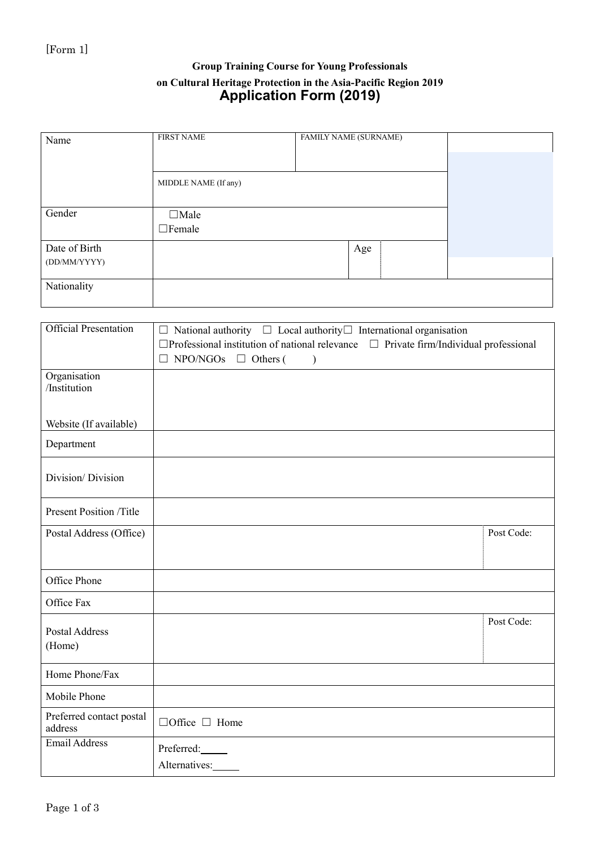### Group Training Course for Young Professionals on Cultural Heritage Protection in the Asia-Pacific Region 2019 Application Form (2019)

| Name          | <b>FIRST NAME</b>            | <b>FAMILY NAME (SURNAME)</b> |     |  |  |
|---------------|------------------------------|------------------------------|-----|--|--|
|               |                              |                              |     |  |  |
|               | MIDDLE NAME (If any)         |                              |     |  |  |
| Gender        | $\Box$ Male<br>$\Box$ Female |                              |     |  |  |
| Date of Birth |                              |                              | Age |  |  |
| (DD/MM/YYYY)  |                              |                              |     |  |  |
| Nationality   |                              |                              |     |  |  |

| <b>Official Presentation</b>        | $\Box$ National authority $\Box$ Local authority $\Box$ International organisation                                                                   |            |
|-------------------------------------|------------------------------------------------------------------------------------------------------------------------------------------------------|------------|
|                                     | $\Box$ Professional institution of national relevance $\Box$ Private firm/Individual professional<br>$\Box$ NPO/NGOs<br>$\Box$ Others (<br>$\lambda$ |            |
| Organisation                        |                                                                                                                                                      |            |
| /Institution                        |                                                                                                                                                      |            |
|                                     |                                                                                                                                                      |            |
| Website (If available)              |                                                                                                                                                      |            |
| Department                          |                                                                                                                                                      |            |
| Division/Division                   |                                                                                                                                                      |            |
|                                     |                                                                                                                                                      |            |
| <b>Present Position /Title</b>      |                                                                                                                                                      |            |
| Postal Address (Office)             |                                                                                                                                                      | Post Code: |
|                                     |                                                                                                                                                      |            |
| Office Phone                        |                                                                                                                                                      |            |
| Office Fax                          |                                                                                                                                                      |            |
| Postal Address                      |                                                                                                                                                      | Post Code: |
| (Home)                              |                                                                                                                                                      |            |
|                                     |                                                                                                                                                      |            |
| Home Phone/Fax                      |                                                                                                                                                      |            |
| Mobile Phone                        |                                                                                                                                                      |            |
| Preferred contact postal<br>address | $\Box$ Office $\Box$ Home                                                                                                                            |            |
| <b>Email Address</b>                | Preferred:                                                                                                                                           |            |
|                                     | Alternatives:                                                                                                                                        |            |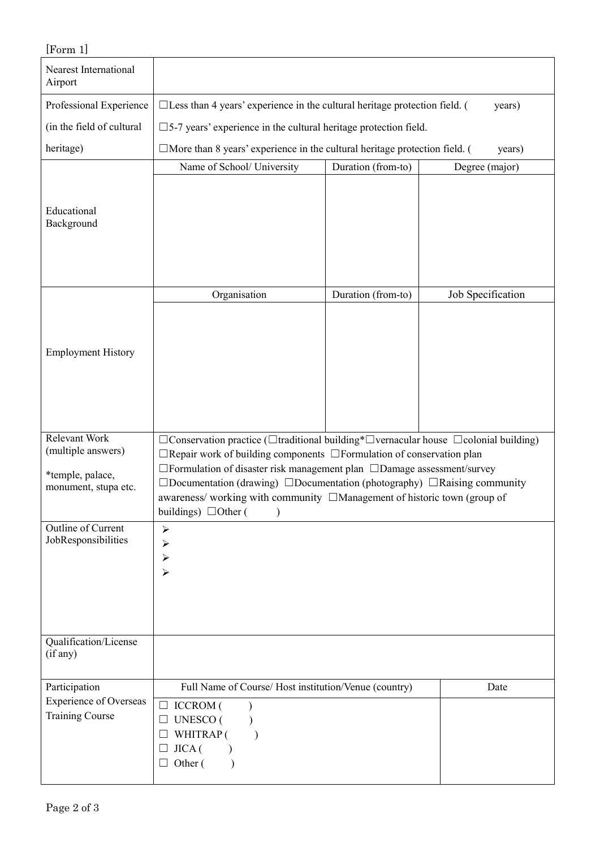| [Form 1]                                                |                                                                                                                                                                                                                                                                                                                                                                                              |                    |                   |  |  |
|---------------------------------------------------------|----------------------------------------------------------------------------------------------------------------------------------------------------------------------------------------------------------------------------------------------------------------------------------------------------------------------------------------------------------------------------------------------|--------------------|-------------------|--|--|
| Nearest International<br>Airport                        |                                                                                                                                                                                                                                                                                                                                                                                              |                    |                   |  |  |
| Professional Experience                                 | $\Box$ Less than 4 years' experience in the cultural heritage protection field. (                                                                                                                                                                                                                                                                                                            |                    | years)            |  |  |
| (in the field of cultural                               | $\square$ 5-7 years' experience in the cultural heritage protection field.                                                                                                                                                                                                                                                                                                                   |                    |                   |  |  |
| heritage)                                               | $\Box$ More than 8 years' experience in the cultural heritage protection field. (                                                                                                                                                                                                                                                                                                            |                    | years)            |  |  |
| Educational<br>Background                               | Name of School/ University                                                                                                                                                                                                                                                                                                                                                                   | Duration (from-to) | Degree (major)    |  |  |
| <b>Employment History</b>                               | Organisation                                                                                                                                                                                                                                                                                                                                                                                 | Duration (from-to) | Job Specification |  |  |
| Relevant Work<br>(multiple answers)                     | $\Box$ Conservation practice ( $\Box$ traditional building* $\Box$ vernacular house $\Box$ colonial building)                                                                                                                                                                                                                                                                                |                    |                   |  |  |
| *temple, palace,<br>monument, stupa etc.                | $\Box$ Repair work of building components $\Box$ Formulation of conservation plan<br>$\Box$ Formulation of disaster risk management plan $\Box$ Damage assessment/survey<br>$\Box$ Documentation (drawing) $\Box$ Documentation (photography) $\Box$ Raising community<br>awareness/ working with community □Management of historic town (group of<br>buildings) $\Box$ Other (<br>$\lambda$ |                    |                   |  |  |
| Outline of Current<br>JobResponsibilities               | $\blacktriangleright$<br>≻<br>$\blacktriangleright$<br>$\blacktriangleright$                                                                                                                                                                                                                                                                                                                 |                    |                   |  |  |
| Qualification/License<br>(if any)                       |                                                                                                                                                                                                                                                                                                                                                                                              |                    |                   |  |  |
| Participation                                           | Full Name of Course/Host institution/Venue (country)                                                                                                                                                                                                                                                                                                                                         |                    | Date              |  |  |
| <b>Experience of Overseas</b><br><b>Training Course</b> | $\Box$ ICCROM (<br><b>UNESCO</b> (<br>WHITRAP (<br>JICA(<br>Other (<br>$\Box$                                                                                                                                                                                                                                                                                                                |                    |                   |  |  |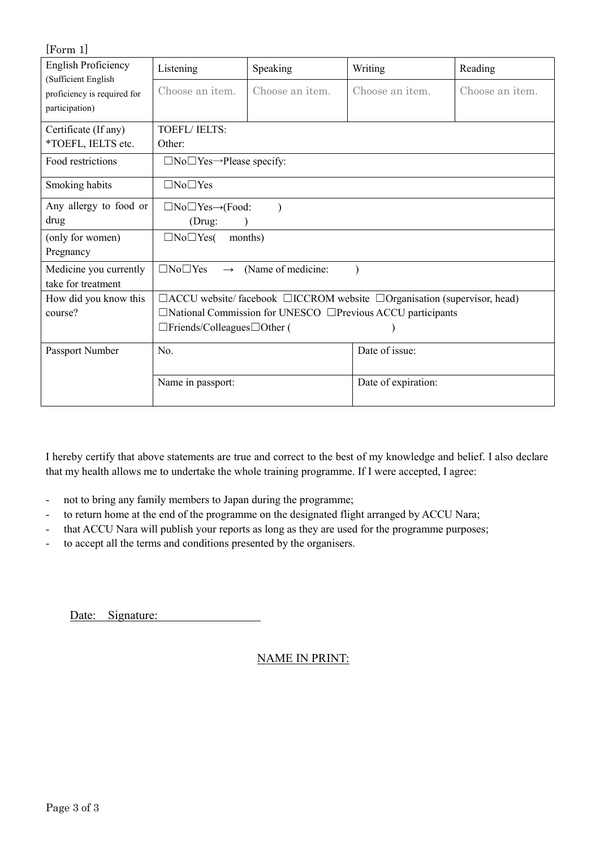| $\lfloor \text{Form 1} \rfloor$                    |                                                                                           |                         |                     |                 |  |  |
|----------------------------------------------------|-------------------------------------------------------------------------------------------|-------------------------|---------------------|-----------------|--|--|
| <b>English Proficiency</b>                         | Listening                                                                                 | Speaking                | Writing             | Reading         |  |  |
| (Sufficient English<br>proficiency is required for | Choose an item.                                                                           | Choose an <i>item</i> . | Choose an item.     | Choose an item. |  |  |
| participation)                                     |                                                                                           |                         |                     |                 |  |  |
| Certificate (If any)                               | <b>TOEFL/IELTS:</b>                                                                       |                         |                     |                 |  |  |
| *TOEFL, IELTS etc.                                 | Other:                                                                                    |                         |                     |                 |  |  |
| Food restrictions                                  | $\Box$ No $\Box$ Yes $\rightarrow$ Please specify:                                        |                         |                     |                 |  |  |
| Smoking habits                                     | $\Box$ No $\Box$ Yes                                                                      |                         |                     |                 |  |  |
| Any allergy to food or                             | $\Box$ No $\Box$ Yes $\rightarrow$ (Food:                                                 |                         |                     |                 |  |  |
| drug                                               | (Drug:                                                                                    |                         |                     |                 |  |  |
| (only for women)                                   | $\Box$ No $\Box$ Yes(                                                                     | months)                 |                     |                 |  |  |
| Pregnancy                                          |                                                                                           |                         |                     |                 |  |  |
| Medicine you currently                             | $\Box$ No $\Box$ Yes<br>$\longrightarrow$                                                 | (Name of medicine:      |                     |                 |  |  |
| take for treatment                                 |                                                                                           |                         |                     |                 |  |  |
| How did you know this                              | $\Box$ ACCU website/facebook $\Box$ ICCROM website $\Box$ Organisation (supervisor, head) |                         |                     |                 |  |  |
| course?                                            | $\Box$ National Commission for UNESCO $\Box$ Previous ACCU participants                   |                         |                     |                 |  |  |
|                                                    | $\Box$ Friends/Colleagues $\Box$ Other (                                                  |                         |                     |                 |  |  |
| Passport Number                                    | No.                                                                                       |                         | Date of issue:      |                 |  |  |
|                                                    | Name in passport:                                                                         |                         | Date of expiration: |                 |  |  |

I hereby certify that above statements are true and correct to the best of my knowledge and belief. I also declare that my health allows me to undertake the whole training programme. If I were accepted, I agree:

- not to bring any family members to Japan during the programme;
- to return home at the end of the programme on the designated flight arranged by ACCU Nara;
- that ACCU Nara will publish your reports as long as they are used for the programme purposes;
- to accept all the terms and conditions presented by the organisers.

Date: Signature:

### NAME IN PRINT: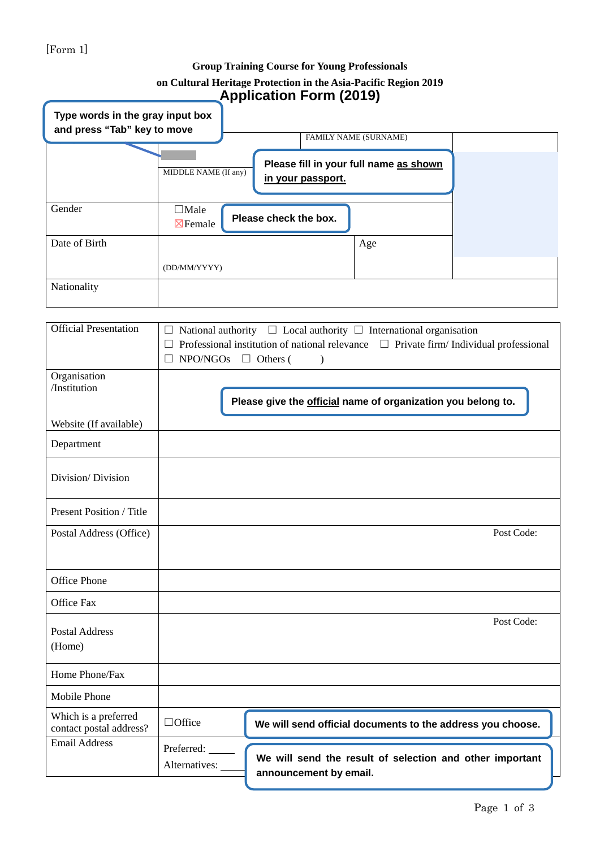### [Form 1]

### **Group Training Course for Young Professionals on Cultural Heritage Protection in the Asia-Pacific Region 2019 Application Form (2019)**

| Type words in the gray input box<br>and press "Tab" key to move | . .                                                                                                          |                       |     |  |
|-----------------------------------------------------------------|--------------------------------------------------------------------------------------------------------------|-----------------------|-----|--|
|                                                                 | FAMILY NAME (SURNAME)<br>Please fill in your full name as shown<br>MIDDLE NAME (If any)<br>in your passport. |                       |     |  |
| Gender                                                          | $\Box$ Male<br>$\boxtimes$ Female                                                                            | Please check the box. |     |  |
| Date of Birth                                                   |                                                                                                              |                       | Age |  |
|                                                                 | (DD/MM/YYYY)                                                                                                 |                       |     |  |
| Nationality                                                     |                                                                                                              |                       |     |  |

| <b>Official Presentation</b>                    | $\Box$<br>$NPO/NGOs \square$ Others ( | $\Box$ National authority $\Box$ Local authority $\Box$ International organisation<br>Professional institution of national relevance $\Box$ Private firm/ Individual professional<br>$\lambda$ |            |
|-------------------------------------------------|---------------------------------------|------------------------------------------------------------------------------------------------------------------------------------------------------------------------------------------------|------------|
| Organisation<br>/Institution                    |                                       | Please give the official name of organization you belong to.                                                                                                                                   |            |
| Website (If available)                          |                                       |                                                                                                                                                                                                |            |
| Department                                      |                                       |                                                                                                                                                                                                |            |
| Division/Division                               |                                       |                                                                                                                                                                                                |            |
| Present Position / Title                        |                                       |                                                                                                                                                                                                |            |
| Postal Address (Office)                         |                                       |                                                                                                                                                                                                | Post Code: |
|                                                 |                                       |                                                                                                                                                                                                |            |
| Office Phone                                    |                                       |                                                                                                                                                                                                |            |
| Office Fax                                      |                                       |                                                                                                                                                                                                |            |
| <b>Postal Address</b><br>(Home)                 |                                       |                                                                                                                                                                                                | Post Code: |
| Home Phone/Fax                                  |                                       |                                                                                                                                                                                                |            |
| Mobile Phone                                    |                                       |                                                                                                                                                                                                |            |
| Which is a preferred<br>contact postal address? | $\Box$ Office                         | We will send official documents to the address you choose.                                                                                                                                     |            |
| <b>Email Address</b>                            | Preferred:<br>Alternatives:           | We will send the result of selection and other important<br>announcement by email.                                                                                                             |            |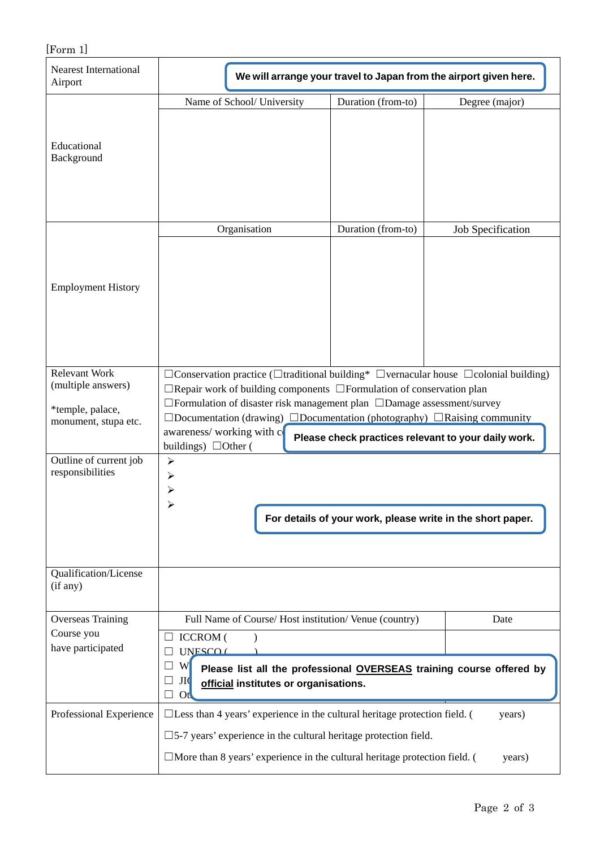| [Form 1]                                                                               |                                                                                                                                                                                                                                                                                                                                                                                                                                                                |                                                                                                                              |                   |  |  |
|----------------------------------------------------------------------------------------|----------------------------------------------------------------------------------------------------------------------------------------------------------------------------------------------------------------------------------------------------------------------------------------------------------------------------------------------------------------------------------------------------------------------------------------------------------------|------------------------------------------------------------------------------------------------------------------------------|-------------------|--|--|
| <b>Nearest International</b><br>Airport                                                | We will arrange your travel to Japan from the airport given here.                                                                                                                                                                                                                                                                                                                                                                                              |                                                                                                                              |                   |  |  |
| Educational<br>Background                                                              | Name of School/ University                                                                                                                                                                                                                                                                                                                                                                                                                                     | Duration (from-to)                                                                                                           | Degree (major)    |  |  |
|                                                                                        | Organisation                                                                                                                                                                                                                                                                                                                                                                                                                                                   | Duration (from-to)                                                                                                           | Job Specification |  |  |
| <b>Employment History</b>                                                              |                                                                                                                                                                                                                                                                                                                                                                                                                                                                |                                                                                                                              |                   |  |  |
| <b>Relevant Work</b><br>(multiple answers)<br>*temple, palace,<br>monument, stupa etc. | $\Box$ Conservation practice ( $\Box$ traditional building* $\Box$ vernacular house $\Box$ colonial building)<br>$\Box$ Repair work of building components $\Box$ Formulation of conservation plan<br>□Formulation of disaster risk management plan □Damage assessment/survey<br>$\Box$ Documentation (drawing) $\Box$ Documentation (photography) $\Box$ Raising community<br>awareness/working with c<br>Please check practices relevant to your daily work. |                                                                                                                              |                   |  |  |
| Outline of current job<br>responsibilities                                             | buildings) $\Box$ Other (<br>$\blacktriangleright$<br>$\blacktriangleright$<br>⋗                                                                                                                                                                                                                                                                                                                                                                               | For details of your work, please write in the short paper.                                                                   |                   |  |  |
| Qualification/License<br>(if any)                                                      |                                                                                                                                                                                                                                                                                                                                                                                                                                                                |                                                                                                                              |                   |  |  |
| <b>Overseas Training</b><br>Course you<br>have participated                            | <b>ICCROM</b> (<br>UNESCO (<br>W<br>$\Box$<br>JI(<br>official institutes or organisations.<br>Ot                                                                                                                                                                                                                                                                                                                                                               | Full Name of Course/Host institution/Venue (country)<br>Please list all the professional OVERSEAS training course offered by | Date              |  |  |
| Professional Experience                                                                | $\Box$ Less than 4 years' experience in the cultural heritage protection field. (<br>$\square$ 5-7 years' experience in the cultural heritage protection field.<br>$\Box$ More than 8 years' experience in the cultural heritage protection field. (                                                                                                                                                                                                           |                                                                                                                              | years)<br>years)  |  |  |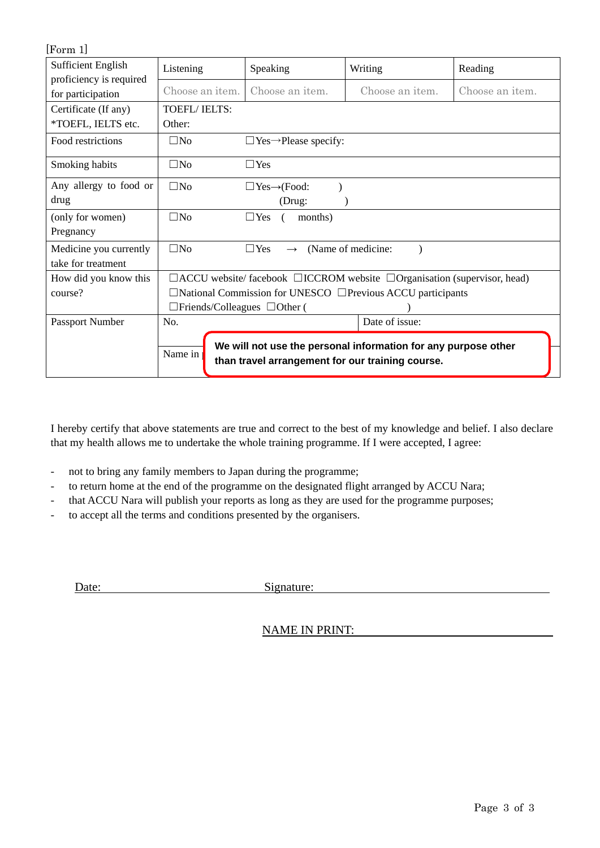| [Form 1]                  |                                                                                           |                                          |                                                                                                                    |                 |  |
|---------------------------|-------------------------------------------------------------------------------------------|------------------------------------------|--------------------------------------------------------------------------------------------------------------------|-----------------|--|
| <b>Sufficient English</b> | Listening                                                                                 | Speaking                                 | Writing                                                                                                            | Reading         |  |
| proficiency is required   |                                                                                           |                                          |                                                                                                                    |                 |  |
| for participation         | Choose an item.                                                                           | Choose an item.                          | Choose an item.                                                                                                    | Choose an item. |  |
| Certificate (If any)      | <b>TOEFL/IELTS:</b>                                                                       |                                          |                                                                                                                    |                 |  |
| *TOEFL, IELTS etc.        | Other:                                                                                    |                                          |                                                                                                                    |                 |  |
| Food restrictions         | $\square$ No                                                                              | $\Box$ Yes $\rightarrow$ Please specify: |                                                                                                                    |                 |  |
| Smoking habits            | $\square$ No                                                                              | $\Box$ Yes                               |                                                                                                                    |                 |  |
| Any allergy to food or    | $\square$ No                                                                              | $\Box$ Yes $\rightarrow$ (Food:          |                                                                                                                    |                 |  |
| drug                      |                                                                                           | (Drug:                                   |                                                                                                                    |                 |  |
| (only for women)          | $\square$ No                                                                              | $\Box$ Yes<br>months)                    |                                                                                                                    |                 |  |
| Pregnancy                 |                                                                                           |                                          |                                                                                                                    |                 |  |
| Medicine you currently    | $\square$ No                                                                              | $\Box$ Yes<br>$\rightarrow$              | (Name of medicine:                                                                                                 |                 |  |
| take for treatment        |                                                                                           |                                          |                                                                                                                    |                 |  |
| How did you know this     | $\Box$ ACCU website/facebook $\Box$ ICCROM website $\Box$ Organisation (supervisor, head) |                                          |                                                                                                                    |                 |  |
| course?                   | $\Box$ National Commission for UNESCO $\Box$ Previous ACCU participants                   |                                          |                                                                                                                    |                 |  |
|                           | $\Box$ Friends/Colleagues $\Box$ Other (                                                  |                                          |                                                                                                                    |                 |  |
| Passport Number           | No.                                                                                       |                                          | Date of issue:                                                                                                     |                 |  |
|                           | Name in                                                                                   |                                          | We will not use the personal information for any purpose other<br>than travel arrangement for our training course. |                 |  |

I hereby certify that above statements are true and correct to the best of my knowledge and belief. I also declare that my health allows me to undertake the whole training programme. If I were accepted, I agree:

- not to bring any family members to Japan during the programme;
- to return home at the end of the programme on the designated flight arranged by ACCU Nara;
- that ACCU Nara will publish your reports as long as they are used for the programme purposes;
- to accept all the terms and conditions presented by the organisers.

Date: Signature:

NAME IN PRINT: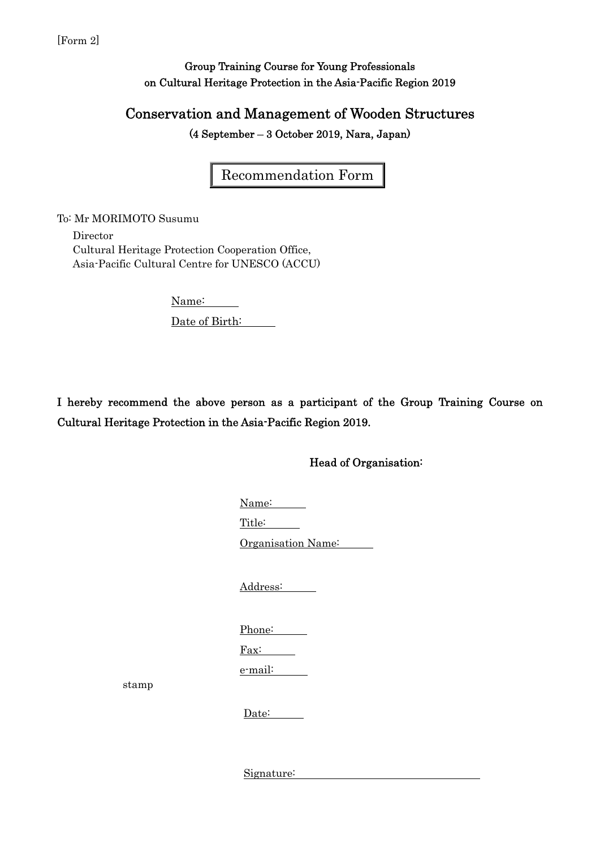### Group Training Course for Young Professionals on Cultural Heritage Protection in the Asia-Pacific Region 2019

## Conservation and Management of Wooden Structures

(4 September – 3 October 2019, Nara, Japan)

Recommendation Form

To: Mr MORIMOTO Susumu

stamp

 Director Cultural Heritage Protection Cooperation Office, Asia-Pacific Cultural Centre for UNESCO (ACCU)

> Name: Date of Birth:

I hereby recommend the above person as a participant of the Group Training Course on Cultural Heritage Protection in the Asia-Pacific Region 2019.

Head of Organisation:

 Name: Title: Organisation Name: Address: Phone: Fax: e-mail: Date:

Signature: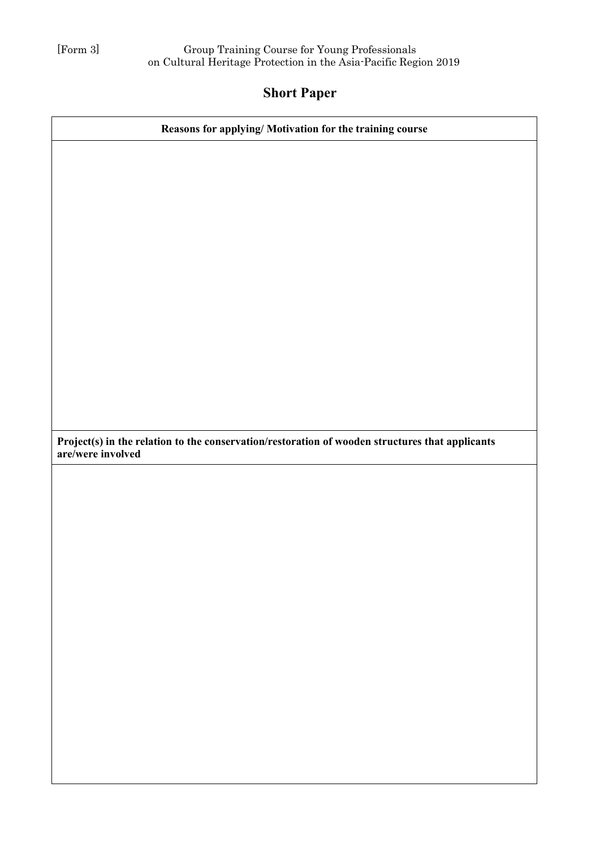## Short Paper

| Reasons for applying/ Motivation for the training course                                                             |
|----------------------------------------------------------------------------------------------------------------------|
|                                                                                                                      |
|                                                                                                                      |
|                                                                                                                      |
|                                                                                                                      |
|                                                                                                                      |
|                                                                                                                      |
|                                                                                                                      |
|                                                                                                                      |
|                                                                                                                      |
|                                                                                                                      |
|                                                                                                                      |
|                                                                                                                      |
|                                                                                                                      |
| Project(s) in the relation to the conservation/restoration of wooden structures that applicants<br>are/were involved |
|                                                                                                                      |
|                                                                                                                      |
|                                                                                                                      |
|                                                                                                                      |
|                                                                                                                      |
|                                                                                                                      |
|                                                                                                                      |
|                                                                                                                      |
|                                                                                                                      |
|                                                                                                                      |
|                                                                                                                      |
|                                                                                                                      |
|                                                                                                                      |